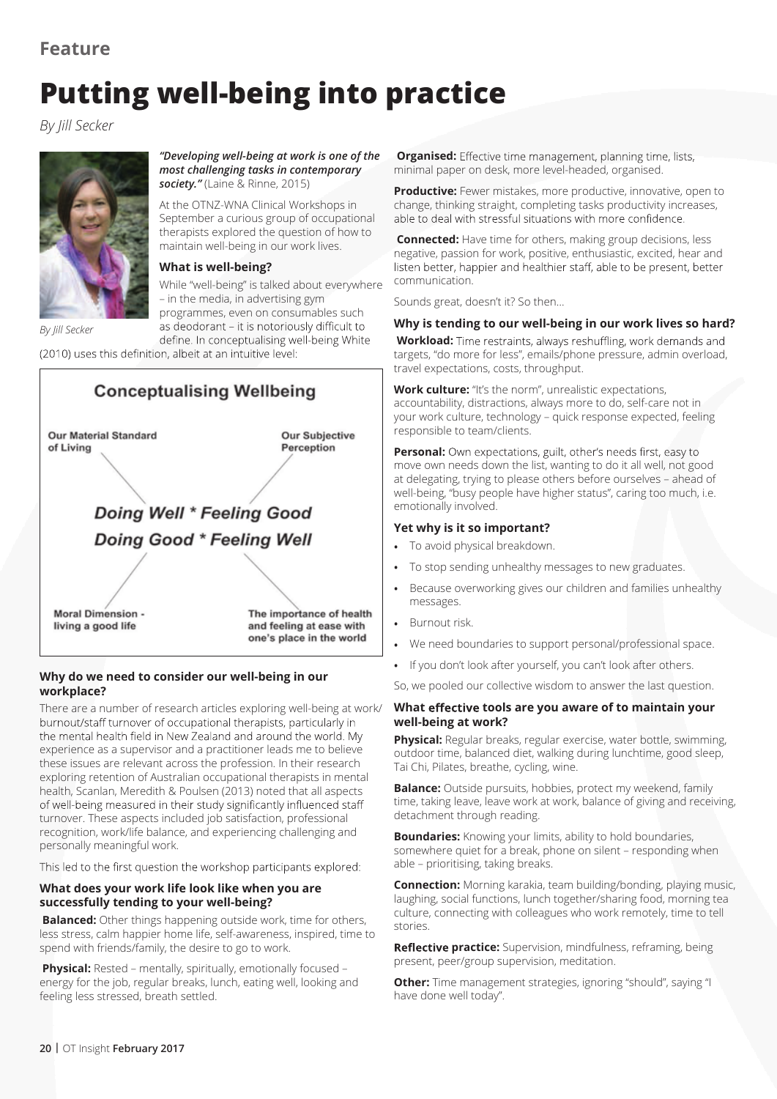# **Putting well-being into practice**

*By Jill Secker*



*"Developing well-being at work is one of the most challenging tasks in contemporary society."* (Laine & Rinne, 2015)

At the OTNZ-WNA Clinical Workshops in September a curious group of occupational therapists explored the question of how to maintain well-being in our work lives.

### **What is well-being?**

While "well-being" is talked about everywhere – in the media, in advertising gym programmes, even on consumables such as deodorant - it is notoriously difficult to

define. In conceptualising well-being White

(2010) uses this definition, albeit at an intuitive level:



# **Why do we need to consider our well-being in our workplace?**

There are a number of research articles exploring well-being at work/ burnout/staff turnover of occupational therapists, particularly in the mental health field in New Zealand and around the world. My experience as a supervisor and a practitioner leads me to believe these issues are relevant across the profession. In their research exploring retention of Australian occupational therapists in mental health, Scanlan, Meredith & Poulsen (2013) noted that all aspects of well-being measured in their study significantly influenced staff turnover. These aspects included job satisfaction, professional recognition, work/life balance, and experiencing challenging and personally meaningful work.

This led to the first question the workshop participants explored:

## **What does your work life look like when you are successfully tending to your well-being?**

 **Balanced:** Other things happening outside work, time for others, less stress, calm happier home life, self-awareness, inspired, time to spend with friends/family, the desire to go to work.

**Physical:** Rested – mentally, spiritually, emotionally focused – energy for the job, regular breaks, lunch, eating well, looking and feeling less stressed, breath settled.

**Organised:** Effective time management, planning time, lists, minimal paper on desk, more level-headed, organised.

**Productive:** Fewer mistakes, more productive, innovative, open to change, thinking straight, completing tasks productivity increases, able to deal with stressful situations with more confidence.

 **Connected:** Have time for others, making group decisions, less negative, passion for work, positive, enthusiastic, excited, hear and listen better, happier and healthier staff, able to be present, better communication.

Sounds great, doesn't it? So then…

## **Why is tending to our well-being in our work lives so hard?**

**Workload:** Time restraints, always reshuffling, work demands and targets, "do more for less", emails/phone pressure, admin overload, travel expectations, costs, throughput.

**Work culture:** "It's the norm", unrealistic expectations, accountability, distractions, always more to do, self-care not in your work culture, technology – quick response expected, feeling responsible to team/clients.

**Personal:** Own expectations, guilt, other's needs first, easy to move own needs down the list, wanting to do it all well, not good at delegating, trying to please others before ourselves – ahead of well-being, "busy people have higher status", caring too much, i.e. emotionally involved.

## **Yet why is it so important?**

- **•** To avoid physical breakdown.
- **•** To stop sending unhealthy messages to new graduates.
- **•** Because overworking gives our children and families unhealthy messages.
- **•** Burnout risk.
- **•** We need boundaries to support personal/professional space.
- **•** If you don't look after yourself, you can't look after others.

So, we pooled our collective wisdom to answer the last question.

#### **What tools are you aware of to maintain your well-being at work?**

**Physical:** Regular breaks, regular exercise, water bottle, swimming, outdoor time, balanced diet, walking during lunchtime, good sleep, Tai Chi, Pilates, breathe, cycling, wine.

**Balance:** Outside pursuits, hobbies, protect my weekend, family time, taking leave, leave work at work, balance of giving and receiving, detachment through reading.

**Boundaries:** Knowing your limits, ability to hold boundaries, somewhere quiet for a break, phone on silent – responding when able – prioritising, taking breaks.

**Connection:** Morning karakia, team building/bonding, playing music, laughing, social functions, lunch together/sharing food, morning tea culture, connecting with colleagues who work remotely, time to tell stories.

**Reflective practice:** Supervision, mindfulness, reframing, being present, peer/group supervision, meditation.

**Other:** Time management strategies, ignoring "should", saying "I have done well today".